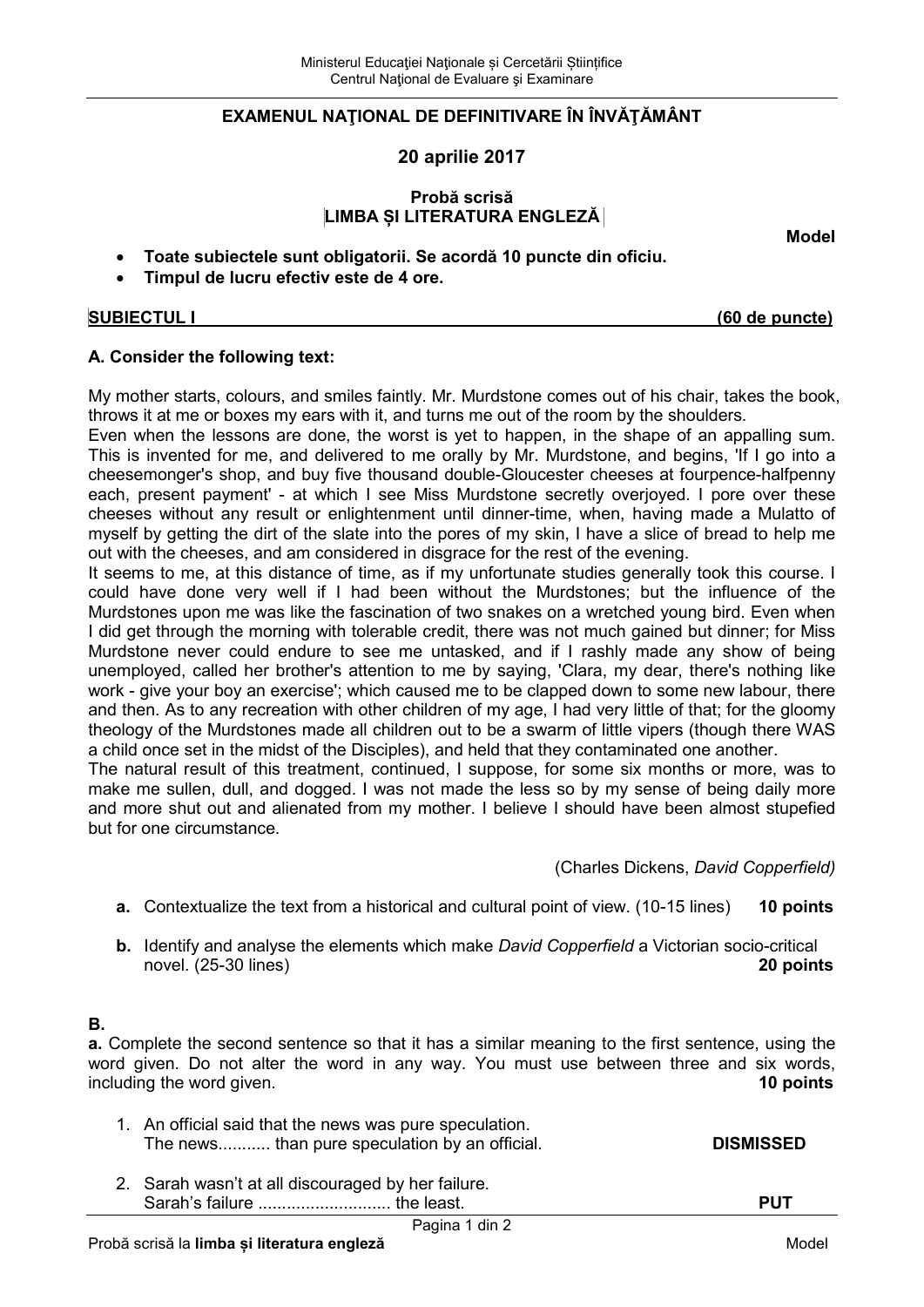## **EXAMENUL NAŢIONAL DE DEFINITIVARE ÎN ÎNVĂŢĂMÂNT**

**20 aprilie 2017** 

# **Probă scrisă LIMBA ȘI LITERATURA ENGLEZĂ**

**Model** 

- **Toate subiectele sunt obligatorii. Se acordă 10 puncte din oficiu.**
- **Timpul de lucru efectiv este de 4 ore.**

**SUBIECTUL I (60 de puncte)**

# **A. Consider the following text:**

My mother starts, colours, and smiles faintly. Mr. Murdstone comes out of his chair, takes the book, throws it at me or boxes my ears with it, and turns me out of the room by the shoulders.

Even when the lessons are done, the worst is yet to happen, in the shape of an appalling sum. This is invented for me, and delivered to me orally by Mr. Murdstone, and begins, 'If I go into a cheesemonger's shop, and buy five thousand double-Gloucester cheeses at fourpence-halfpenny each, present payment' - at which I see Miss Murdstone secretly overjoyed. I pore over these cheeses without any result or enlightenment until dinner-time, when, having made a Mulatto of myself by getting the dirt of the slate into the pores of my skin, I have a slice of bread to help me out with the cheeses, and am considered in disgrace for the rest of the evening.

It seems to me, at this distance of time, as if my unfortunate studies generally took this course. I could have done very well if I had been without the Murdstones; but the influence of the Murdstones upon me was like the fascination of two snakes on a wretched young bird. Even when I did get through the morning with tolerable credit, there was not much gained but dinner; for Miss Murdstone never could endure to see me untasked, and if I rashly made any show of being unemployed, called her brother's attention to me by saying, 'Clara, my dear, there's nothing like work - give your boy an exercise'; which caused me to be clapped down to some new labour, there and then. As to any recreation with other children of my age, I had very little of that; for the gloomy theology of the Murdstones made all children out to be a swarm of little vipers (though there WAS a child once set in the midst of the Disciples), and held that they contaminated one another.

The natural result of this treatment, continued, I suppose, for some six months or more, was to make me sullen, dull, and dogged. I was not made the less so by my sense of being daily more and more shut out and alienated from my mother. I believe I should have been almost stupefied but for one circumstance.

(Charles Dickens, *David Copperfield)* 

- **a.** Contextualize the text from a historical and cultural point of view. (10-15 lines) **10 points**
- **b.** Identify and analyse the elements which make *David Copperfield* a Victorian socio-critical novel. (25-30 lines) **20 points**

# **B.**

**a.** Complete the second sentence so that it has a similar meaning to the first sentence, using the word given. Do not alter the word in any way. You must use between three and six words, including the word given. including the word given.

- 1. An official said that the news was pure speculation. The news............ than pure speculation by an official. **DISMISSED**
- 2. Sarah wasn't at all discouraged by her failure. Sarah's failure ............................ the least. **PUT**